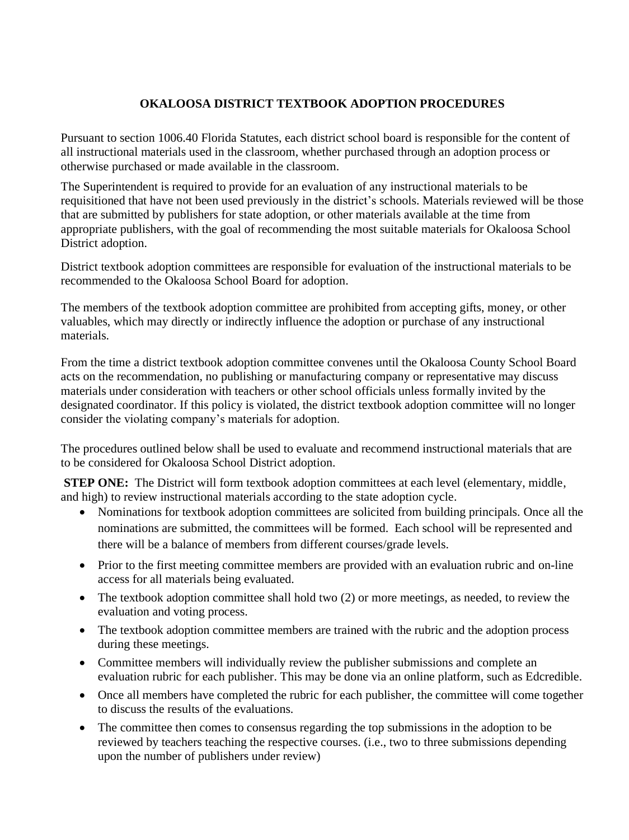## **OKALOOSA DISTRICT TEXTBOOK ADOPTION PROCEDURES**

Pursuant to section 1006.40 Florida Statutes, each district school board is responsible for the content of all instructional materials used in the classroom, whether purchased through an adoption process or otherwise purchased or made available in the classroom.

The Superintendent is required to provide for an evaluation of any instructional materials to be requisitioned that have not been used previously in the district's schools. Materials reviewed will be those that are submitted by publishers for state adoption, or other materials available at the time from appropriate publishers, with the goal of recommending the most suitable materials for Okaloosa School District adoption.

District textbook adoption committees are responsible for evaluation of the instructional materials to be recommended to the Okaloosa School Board for adoption.

The members of the textbook adoption committee are prohibited from accepting gifts, money, or other valuables, which may directly or indirectly influence the adoption or purchase of any instructional materials.

From the time a district textbook adoption committee convenes until the Okaloosa County School Board acts on the recommendation, no publishing or manufacturing company or representative may discuss materials under consideration with teachers or other school officials unless formally invited by the designated coordinator. If this policy is violated, the district textbook adoption committee will no longer consider the violating company's materials for adoption.

The procedures outlined below shall be used to evaluate and recommend instructional materials that are to be considered for Okaloosa School District adoption.

**STEP ONE:** The District will form textbook adoption committees at each level (elementary, middle, and high) to review instructional materials according to the state adoption cycle.

- Nominations for textbook adoption committees are solicited from building principals. Once all the nominations are submitted, the committees will be formed. Each school will be represented and there will be a balance of members from different courses/grade levels.
- Prior to the first meeting committee members are provided with an evaluation rubric and on-line access for all materials being evaluated.
- The textbook adoption committee shall hold two (2) or more meetings, as needed, to review the evaluation and voting process.
- The textbook adoption committee members are trained with the rubric and the adoption process during these meetings.
- Committee members will individually review the publisher submissions and complete an evaluation rubric for each publisher. This may be done via an online platform, such as Edcredible.
- Once all members have completed the rubric for each publisher, the committee will come together to discuss the results of the evaluations.
- The committee then comes to consensus regarding the top submissions in the adoption to be reviewed by teachers teaching the respective courses. (i.e., two to three submissions depending upon the number of publishers under review)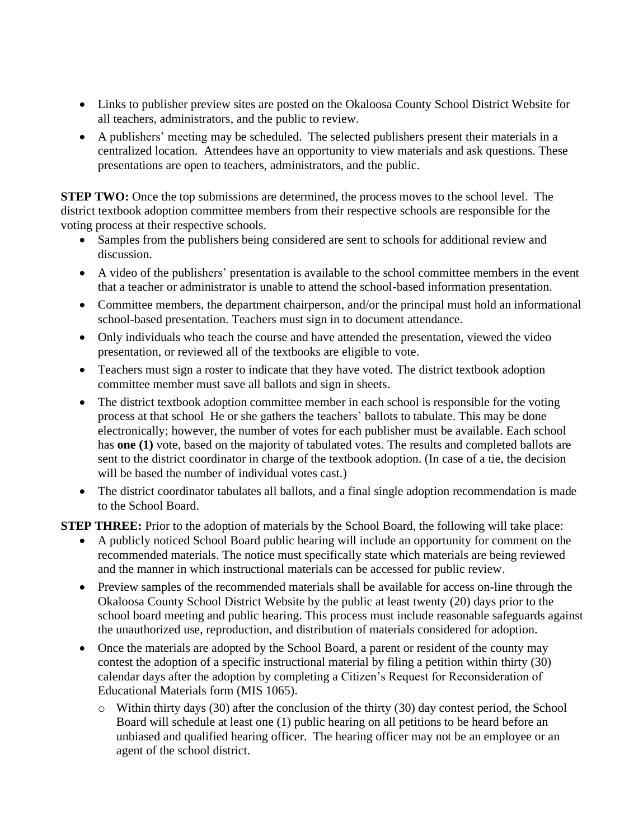- Links to publisher preview sites are posted on the Okaloosa County School District Website for all teachers, administrators, and the public to review.
- A publishers' meeting may be scheduled. The selected publishers present their materials in a centralized location. Attendees have an opportunity to view materials and ask questions. These presentations are open to teachers, administrators, and the public.

**STEP TWO:** Once the top submissions are determined, the process moves to the school level. The district textbook adoption committee members from their respective schools are responsible for the voting process at their respective schools.

- Samples from the publishers being considered are sent to schools for additional review and discussion.
- A video of the publishers' presentation is available to the school committee members in the event that a teacher or administrator is unable to attend the school-based information presentation.
- Committee members, the department chairperson, and/or the principal must hold an informational school-based presentation. Teachers must sign in to document attendance.
- Only individuals who teach the course and have attended the presentation, viewed the video presentation, or reviewed all of the textbooks are eligible to vote.
- Teachers must sign a roster to indicate that they have voted. The district textbook adoption committee member must save all ballots and sign in sheets.
- The district textbook adoption committee member in each school is responsible for the voting process at that school He or she gathers the teachers' ballots to tabulate. This may be done electronically; however, the number of votes for each publisher must be available. Each school has **one (1)** vote, based on the majority of tabulated votes. The results and completed ballots are sent to the district coordinator in charge of the textbook adoption. (In case of a tie, the decision will be based the number of individual votes cast.)
- The district coordinator tabulates all ballots, and a final single adoption recommendation is made to the School Board.

**STEP THREE:** Prior to the adoption of materials by the School Board, the following will take place:

- A publicly noticed School Board public hearing will include an opportunity for comment on the recommended materials. The notice must specifically state which materials are being reviewed and the manner in which instructional materials can be accessed for public review.
- Preview samples of the recommended materials shall be available for access on-line through the Okaloosa County School District Website by the public at least twenty (20) days prior to the school board meeting and public hearing. This process must include reasonable safeguards against the unauthorized use, reproduction, and distribution of materials considered for adoption.
- Once the materials are adopted by the School Board, a parent or resident of the county may contest the adoption of a specific instructional material by filing a petition within thirty (30) calendar days after the adoption by completing a Citizen's Request for Reconsideration of Educational Materials form (MIS 1065).
	- o Within thirty days (30) after the conclusion of the thirty (30) day contest period, the School Board will schedule at least one (1) public hearing on all petitions to be heard before an unbiased and qualified hearing officer. The hearing officer may not be an employee or an agent of the school district.